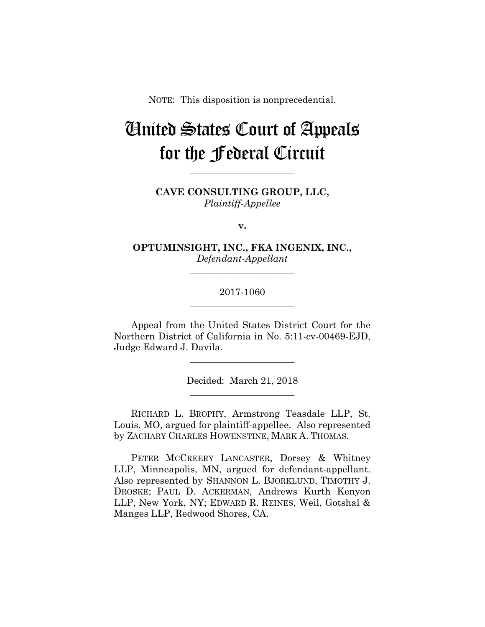NOTE: This disposition is nonprecedential.

# United States Court of Appeals for the Federal Circuit

**CAVE CONSULTING GROUP, LLC,** *Plaintiff-Appellee*

**\_\_\_\_\_\_\_\_\_\_\_\_\_\_\_\_\_\_\_\_\_\_** 

**v.**

**OPTUMINSIGHT, INC., FKA INGENIX, INC.,** *Defendant-Appellant*

**\_\_\_\_\_\_\_\_\_\_\_\_\_\_\_\_\_\_\_\_\_\_** 

# 2017-1060 **\_\_\_\_\_\_\_\_\_\_\_\_\_\_\_\_\_\_\_\_\_\_**

Appeal from the United States District Court for the Northern District of California in No. 5:11-cv-00469-EJD, Judge Edward J. Davila.

> Decided: March 21, 2018 **\_\_\_\_\_\_\_\_\_\_\_\_\_\_\_\_\_\_\_\_\_\_**

**\_\_\_\_\_\_\_\_\_\_\_\_\_\_\_\_\_\_\_\_\_\_** 

 RICHARD L. BROPHY, Armstrong Teasdale LLP, St. Louis, MO, argued for plaintiff-appellee. Also represented by ZACHARY CHARLES HOWENSTINE, MARK A. THOMAS.

 PETER MCCREERY LANCASTER, Dorsey & Whitney LLP, Minneapolis, MN, argued for defendant-appellant. Also represented by SHANNON L. BJORKLUND, TIMOTHY J. DROSKE; PAUL D. ACKERMAN, Andrews Kurth Kenyon LLP, New York, NY; EDWARD R. REINES, Weil, Gotshal & Manges LLP, Redwood Shores, CA.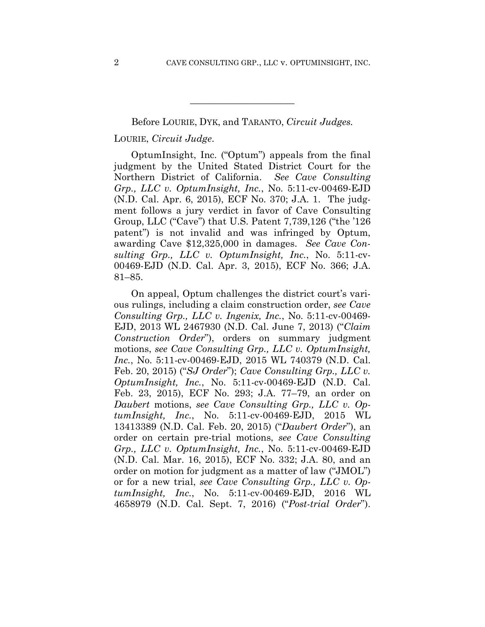#### Before LOURIE, DYK, and TARANTO, *Circuit Judges.*

**\_\_\_\_\_\_\_\_\_\_\_\_\_\_\_\_\_\_\_\_\_\_** 

## LOURIE, *Circuit Judge*.

OptumInsight, Inc. ("Optum") appeals from the final judgment by the United Stated District Court for the Northern District of California. *See Cave Consulting Grp., LLC v. OptumInsight, Inc.*, No. 5:11-cv-00469-EJD (N.D. Cal. Apr. 6, 2015), ECF No. 370; J.A. 1. The judgment follows a jury verdict in favor of Cave Consulting Group, LLC ("Cave") that U.S. Patent 7,739,126 ("the '126 patent") is not invalid and was infringed by Optum, awarding Cave \$12,325,000 in damages. *See Cave Consulting Grp., LLC v. OptumInsight, Inc.*, No. 5:11-cv-00469-EJD (N.D. Cal. Apr. 3, 2015), ECF No. 366; J.A. 81–85.

On appeal, Optum challenges the district court's various rulings, including a claim construction order, *see Cave Consulting Grp., LLC v. Ingenix, Inc.*, No. 5:11-cv-00469- EJD, 2013 WL 2467930 (N.D. Cal. June 7, 2013) ("*Claim Construction Order*"), orders on summary judgment motions, *see Cave Consulting Grp., LLC v. OptumInsight, Inc.*, No. 5:11-cv-00469-EJD, 2015 WL 740379 (N.D. Cal. Feb. 20, 2015) ("*SJ Order*"); *Cave Consulting Grp., LLC v. OptumInsight, Inc.*, No. 5:11-cv-00469-EJD (N.D. Cal. Feb. 23, 2015), ECF No. 293; J.A. 77–79, an order on *Daubert* motions, *see Cave Consulting Grp., LLC v. OptumInsight, Inc.*, No. 5:11-cv-00469-EJD, 2015 WL 13413389 (N.D. Cal. Feb. 20, 2015) ("*Daubert Order*"), an order on certain pre-trial motions, *see Cave Consulting Grp., LLC v. OptumInsight, Inc.*, No. 5:11-cv-00469-EJD (N.D. Cal. Mar. 16, 2015), ECF No. 332; J.A. 80, and an order on motion for judgment as a matter of law ("JMOL") or for a new trial, *see Cave Consulting Grp., LLC v. OptumInsight, Inc.*, No. 5:11-cv-00469-EJD, 2016 WL 4658979 (N.D. Cal. Sept. 7, 2016) ("*Post-trial Order*").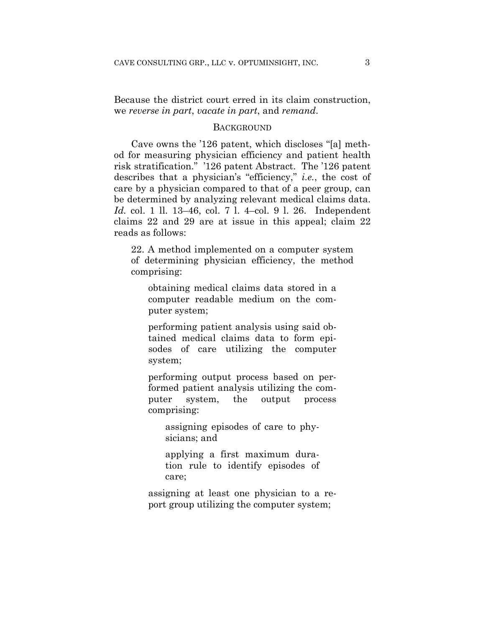Because the district court erred in its claim construction, we *reverse in part*, *vacate in part*, and *remand*.

### **BACKGROUND**

Cave owns the '126 patent, which discloses "[a] method for measuring physician efficiency and patient health risk stratification." '126 patent Abstract. The '126 patent describes that a physician's "efficiency," *i.e.*, the cost of care by a physician compared to that of a peer group, can be determined by analyzing relevant medical claims data. *Id.* col. 1 ll. 13–46, col. 7 l. 4–col. 9 l. 26. Independent claims 22 and 29 are at issue in this appeal; claim 22 reads as follows:

22. A method implemented on a computer system of determining physician efficiency, the method comprising:

obtaining medical claims data stored in a computer readable medium on the computer system;

performing patient analysis using said obtained medical claims data to form episodes of care utilizing the computer system;

performing output process based on performed patient analysis utilizing the computer system, the output process comprising:

assigning episodes of care to physicians; and

applying a first maximum duration rule to identify episodes of care;

assigning at least one physician to a report group utilizing the computer system;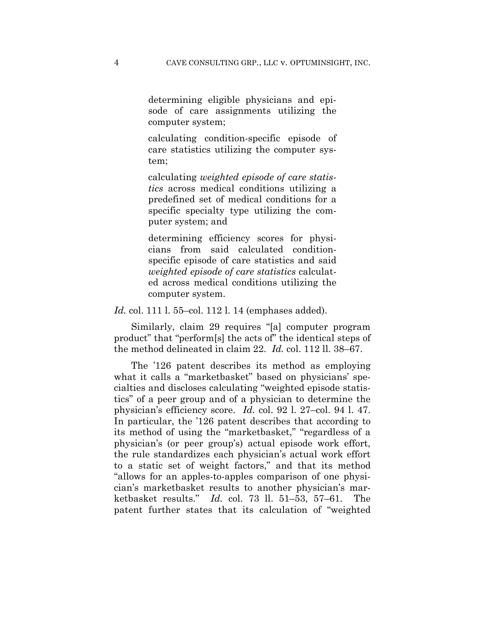determining eligible physicians and episode of care assignments utilizing the computer system;

calculating condition-specific episode of care statistics utilizing the computer system;

calculating *weighted episode of care statistics* across medical conditions utilizing a predefined set of medical conditions for a specific specialty type utilizing the computer system; and

determining efficiency scores for physicians from said calculated conditionspecific episode of care statistics and said *weighted episode of care statistics* calculated across medical conditions utilizing the computer system.

*Id.* col. 111 l. 55–col. 112 l. 14 (emphases added).

Similarly, claim 29 requires "[a] computer program product" that "perform[s] the acts of" the identical steps of the method delineated in claim 22. *Id.* col. 112 ll. 38–67.

The '126 patent describes its method as employing what it calls a "marketbasket" based on physicians' specialties and discloses calculating "weighted episode statistics" of a peer group and of a physician to determine the physician's efficiency score. *Id.* col. 92 l. 27–col. 94 l. 47. In particular, the '126 patent describes that according to its method of using the "marketbasket," "regardless of a physician's (or peer group's) actual episode work effort, the rule standardizes each physician's actual work effort to a static set of weight factors," and that its method "allows for an apples-to-apples comparison of one physician's marketbasket results to another physician's marketbasket results." *Id.* col. 73 ll. 51–53, 57–61. The patent further states that its calculation of "weighted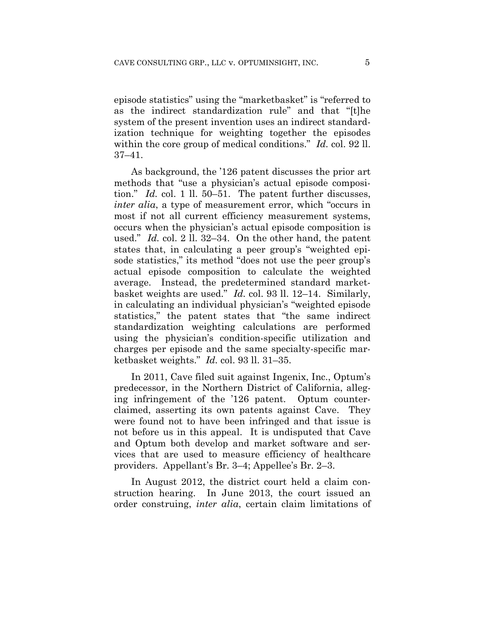episode statistics" using the "marketbasket" is "referred to as the indirect standardization rule" and that "[t]he system of the present invention uses an indirect standardization technique for weighting together the episodes within the core group of medical conditions." *Id.* col. 92 ll. 37–41.

As background, the '126 patent discusses the prior art methods that "use a physician's actual episode composition." *Id.* col. 1 ll. 50–51. The patent further discusses, *inter alia*, a type of measurement error, which "occurs in most if not all current efficiency measurement systems, occurs when the physician's actual episode composition is used." *Id.* col. 2 ll. 32–34. On the other hand, the patent states that, in calculating a peer group's "weighted episode statistics," its method "does not use the peer group's actual episode composition to calculate the weighted average. Instead, the predetermined standard marketbasket weights are used." *Id.* col. 93 ll. 12–14. Similarly, in calculating an individual physician's "weighted episode statistics," the patent states that "the same indirect standardization weighting calculations are performed using the physician's condition-specific utilization and charges per episode and the same specialty-specific marketbasket weights." *Id.* col. 93 ll. 31–35.

In 2011, Cave filed suit against Ingenix, Inc., Optum's predecessor, in the Northern District of California, alleging infringement of the '126 patent. Optum counterclaimed, asserting its own patents against Cave. They were found not to have been infringed and that issue is not before us in this appeal. It is undisputed that Cave and Optum both develop and market software and services that are used to measure efficiency of healthcare providers. Appellant's Br. 3–4; Appellee's Br. 2–3.

In August 2012, the district court held a claim construction hearing. In June 2013, the court issued an order construing, *inter alia*, certain claim limitations of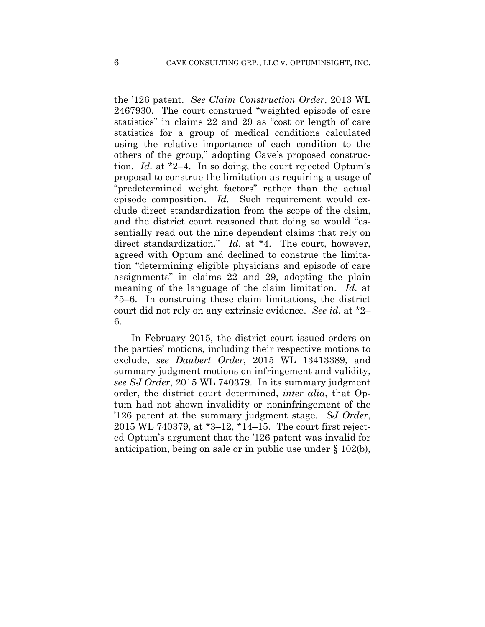the '126 patent. *See Claim Construction Order*, 2013 WL 2467930. The court construed "weighted episode of care statistics" in claims 22 and 29 as "cost or length of care statistics for a group of medical conditions calculated using the relative importance of each condition to the others of the group," adopting Cave's proposed construction. *Id.* at \*2–4. In so doing, the court rejected Optum's proposal to construe the limitation as requiring a usage of "predetermined weight factors" rather than the actual episode composition. *Id.* Such requirement would exclude direct standardization from the scope of the claim, and the district court reasoned that doing so would "essentially read out the nine dependent claims that rely on direct standardization." *Id*. at \*4. The court, however, agreed with Optum and declined to construe the limitation "determining eligible physicians and episode of care assignments" in claims 22 and 29, adopting the plain meaning of the language of the claim limitation. *Id.* at \*5–6. In construing these claim limitations, the district court did not rely on any extrinsic evidence. *See id.* at \*2– 6.

In February 2015, the district court issued orders on the parties' motions, including their respective motions to exclude, *see Daubert Order*, 2015 WL 13413389, and summary judgment motions on infringement and validity, *see SJ Order*, 2015 WL 740379. In its summary judgment order, the district court determined, *inter alia*, that Optum had not shown invalidity or noninfringement of the '126 patent at the summary judgment stage. *SJ Order*, 2015 WL 740379, at \*3–12, \*14–15. The court first rejected Optum's argument that the '126 patent was invalid for anticipation, being on sale or in public use under § 102(b),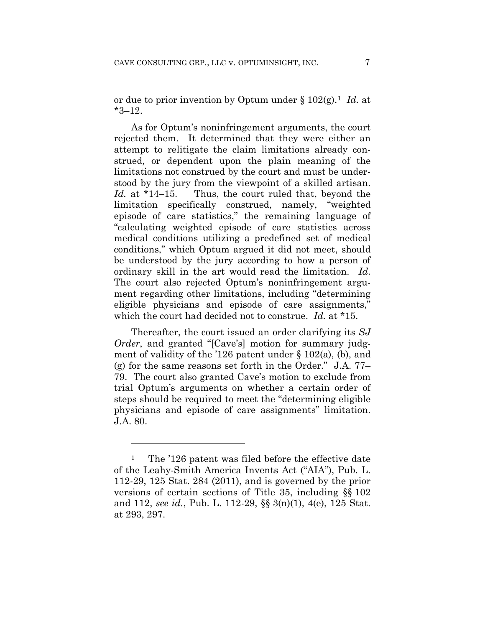or due to prior invention by Optum under § 102(g).1 *Id.* at \*3–12.

As for Optum's noninfringement arguments, the court rejected them. It determined that they were either an attempt to relitigate the claim limitations already construed, or dependent upon the plain meaning of the limitations not construed by the court and must be understood by the jury from the viewpoint of a skilled artisan. *Id.* at \*14–15. Thus, the court ruled that, beyond the limitation specifically construed, namely, "weighted episode of care statistics," the remaining language of "calculating weighted episode of care statistics across medical conditions utilizing a predefined set of medical conditions," which Optum argued it did not meet, should be understood by the jury according to how a person of ordinary skill in the art would read the limitation. *Id*. The court also rejected Optum's noninfringement argument regarding other limitations, including "determining eligible physicians and episode of care assignments," which the court had decided not to construe. *Id.* at \*15.

Thereafter, the court issued an order clarifying its *SJ Order*, and granted "[Cave's] motion for summary judgment of validity of the '126 patent under  $\S$  102(a), (b), and (g) for the same reasons set forth in the Order." J.A. 77– 79. The court also granted Cave's motion to exclude from trial Optum's arguments on whether a certain order of steps should be required to meet the "determining eligible physicians and episode of care assignments" limitation. J.A. 80.

1

<sup>&</sup>lt;sup>1</sup> The '126 patent was filed before the effective date of the Leahy-Smith America Invents Act ("AIA"), Pub. L. 112-29, 125 Stat. 284 (2011), and is governed by the prior versions of certain sections of Title 35, including §§ 102 and 112, *see id.*, Pub. L. 112-29, §§ 3(n)(1), 4(e), 125 Stat. at 293, 297.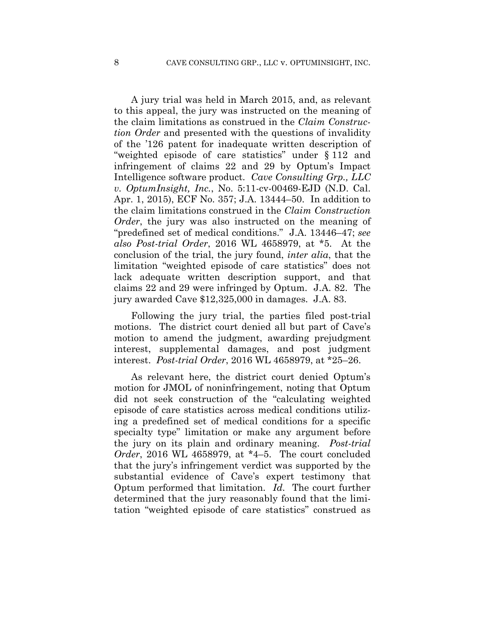A jury trial was held in March 2015, and, as relevant to this appeal, the jury was instructed on the meaning of the claim limitations as construed in the *Claim Construction Order* and presented with the questions of invalidity of the '126 patent for inadequate written description of "weighted episode of care statistics" under § 112 and infringement of claims 22 and 29 by Optum's Impact Intelligence software product. *Cave Consulting Grp., LLC v. OptumInsight, Inc.*, No. 5:11-cv-00469-EJD (N.D. Cal. Apr. 1, 2015), ECF No. 357; J.A. 13444–50. In addition to the claim limitations construed in the *Claim Construction Order*, the jury was also instructed on the meaning of "predefined set of medical conditions." J.A. 13446–47; *see also Post-trial Order*, 2016 WL 4658979, at \*5. At the conclusion of the trial, the jury found, *inter alia*, that the limitation "weighted episode of care statistics" does not lack adequate written description support, and that claims 22 and 29 were infringed by Optum. J.A. 82. The jury awarded Cave \$12,325,000 in damages. J.A. 83.

Following the jury trial, the parties filed post-trial motions. The district court denied all but part of Cave's motion to amend the judgment, awarding prejudgment interest, supplemental damages, and post judgment interest. *Post-trial Order*, 2016 WL 4658979, at \*25–26.

As relevant here, the district court denied Optum's motion for JMOL of noninfringement, noting that Optum did not seek construction of the "calculating weighted episode of care statistics across medical conditions utilizing a predefined set of medical conditions for a specific specialty type" limitation or make any argument before the jury on its plain and ordinary meaning. *Post-trial Order*, 2016 WL 4658979, at \*4–5. The court concluded that the jury's infringement verdict was supported by the substantial evidence of Cave's expert testimony that Optum performed that limitation. *Id*. The court further determined that the jury reasonably found that the limitation "weighted episode of care statistics" construed as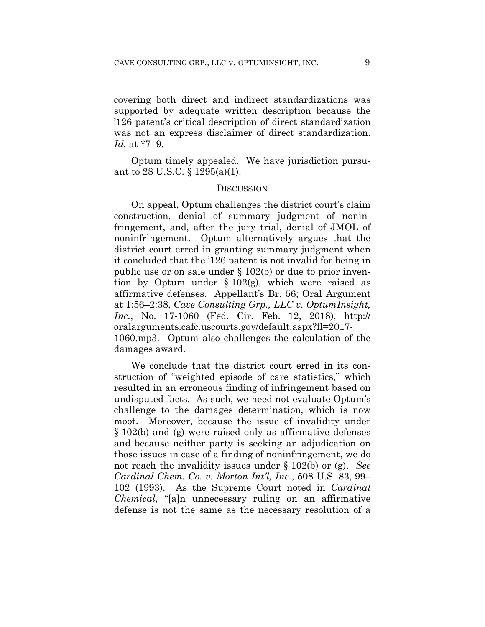covering both direct and indirect standardizations was supported by adequate written description because the '126 patent's critical description of direct standardization was not an express disclaimer of direct standardization. *Id.* at \*7–9.

Optum timely appealed. We have jurisdiction pursuant to 28 U.S.C. § 1295(a)(1).

#### **DISCUSSION**

On appeal, Optum challenges the district court's claim construction, denial of summary judgment of noninfringement, and, after the jury trial, denial of JMOL of noninfringement. Optum alternatively argues that the district court erred in granting summary judgment when it concluded that the '126 patent is not invalid for being in public use or on sale under § 102(b) or due to prior invention by Optum under  $\S 102(g)$ , which were raised as affirmative defenses. Appellant's Br. 56; Oral Argument at 1:56–2:38, *Cave Consulting Grp., LLC v. OptumInsight, Inc.*, No. 17-1060 (Fed. Cir. Feb. 12, 2018), http:// oralarguments.cafc.uscourts.gov/default.aspx?fl=2017- 1060.mp3. Optum also challenges the calculation of the damages award.

We conclude that the district court erred in its construction of "weighted episode of care statistics," which resulted in an erroneous finding of infringement based on undisputed facts. As such, we need not evaluate Optum's challenge to the damages determination, which is now moot. Moreover, because the issue of invalidity under § 102(b) and (g) were raised only as affirmative defenses and because neither party is seeking an adjudication on those issues in case of a finding of noninfringement, we do not reach the invalidity issues under § 102(b) or (g). *See Cardinal Chem. Co. v. Morton Int'l, Inc.*, 508 U.S. 83, 99– 102 (1993). As the Supreme Court noted in *Cardinal Chemical*, "[a]n unnecessary ruling on an affirmative defense is not the same as the necessary resolution of a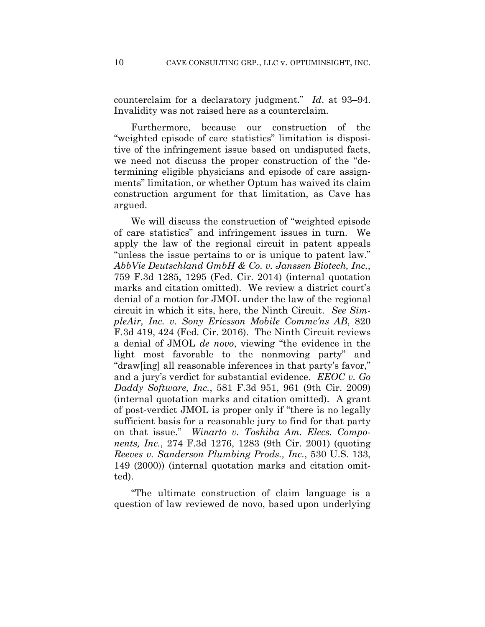counterclaim for a declaratory judgment." *Id*. at 93–94. Invalidity was not raised here as a counterclaim.

Furthermore, because our construction of the "weighted episode of care statistics" limitation is dispositive of the infringement issue based on undisputed facts, we need not discuss the proper construction of the "determining eligible physicians and episode of care assignments" limitation, or whether Optum has waived its claim construction argument for that limitation, as Cave has argued.

We will discuss the construction of "weighted episode of care statistics" and infringement issues in turn. We apply the law of the regional circuit in patent appeals "unless the issue pertains to or is unique to patent law." *AbbVie Deutschland GmbH & Co. v. Janssen Biotech, Inc.*, 759 F.3d 1285, 1295 (Fed. Cir. 2014) (internal quotation marks and citation omitted). We review a district court's denial of a motion for JMOL under the law of the regional circuit in which it sits, here, the Ninth Circuit. *See SimpleAir, Inc. v. Sony Ericsson Mobile Commc'ns AB*, 820 F.3d 419, 424 (Fed. Cir. 2016). The Ninth Circuit reviews a denial of JMOL *de novo*, viewing "the evidence in the light most favorable to the nonmoving party" and "draw[ing] all reasonable inferences in that party's favor," and a jury's verdict for substantial evidence. *EEOC v. Go Daddy Software, Inc.*, 581 F.3d 951, 961 (9th Cir. 2009) (internal quotation marks and citation omitted). A grant of post-verdict JMOL is proper only if "there is no legally sufficient basis for a reasonable jury to find for that party on that issue." *Winarto v. Toshiba Am. Elecs. Components, Inc.*, 274 F.3d 1276, 1283 (9th Cir. 2001) (quoting *Reeves v. Sanderson Plumbing Prods., Inc.*, 530 U.S. 133, 149 (2000)) (internal quotation marks and citation omitted).

"The ultimate construction of claim language is a question of law reviewed de novo, based upon underlying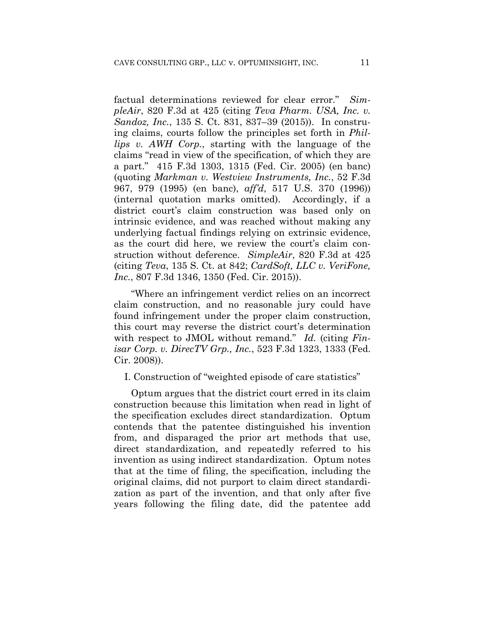factual determinations reviewed for clear error." *SimpleAir*, 820 F.3d at 425 (citing *Teva Pharm. USA, Inc. v. Sandoz, Inc.*, 135 S. Ct. 831, 837–39 (2015)). In construing claims, courts follow the principles set forth in *Phillips v. AWH Corp.*, starting with the language of the claims "read in view of the specification, of which they are a part." 415 F.3d 1303, 1315 (Fed. Cir. 2005) (en banc) (quoting *Markman v. Westview Instruments, Inc.*, 52 F.3d 967, 979 (1995) (en banc), *aff'd*, 517 U.S. 370 (1996)) (internal quotation marks omitted). Accordingly, if a district court's claim construction was based only on intrinsic evidence, and was reached without making any underlying factual findings relying on extrinsic evidence, as the court did here, we review the court's claim construction without deference. *SimpleAir*, 820 F.3d at 425 (citing *Teva*, 135 S. Ct. at 842; *CardSoft, LLC v. VeriFone, Inc.*, 807 F.3d 1346, 1350 (Fed. Cir. 2015)).

"Where an infringement verdict relies on an incorrect claim construction, and no reasonable jury could have found infringement under the proper claim construction, this court may reverse the district court's determination with respect to JMOL without remand." *Id.* (citing *Finisar Corp. v. DirecTV Grp., Inc.*, 523 F.3d 1323, 1333 (Fed. Cir. 2008)).

I. Construction of "weighted episode of care statistics"

Optum argues that the district court erred in its claim construction because this limitation when read in light of the specification excludes direct standardization. Optum contends that the patentee distinguished his invention from, and disparaged the prior art methods that use, direct standardization, and repeatedly referred to his invention as using indirect standardization. Optum notes that at the time of filing, the specification, including the original claims, did not purport to claim direct standardization as part of the invention, and that only after five years following the filing date, did the patentee add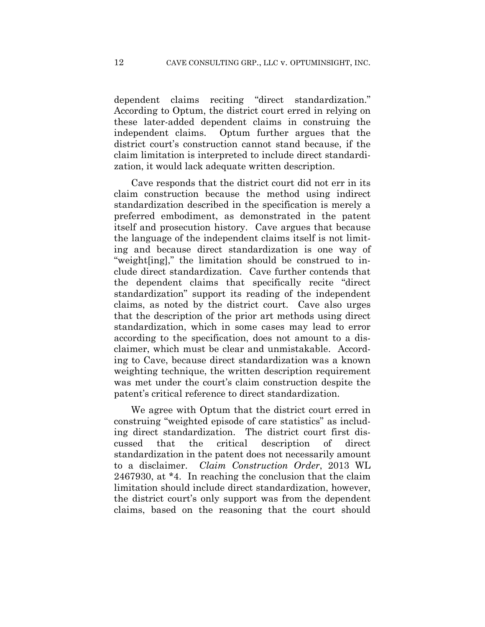dependent claims reciting "direct standardization." According to Optum, the district court erred in relying on these later-added dependent claims in construing the independent claims. Optum further argues that the district court's construction cannot stand because, if the claim limitation is interpreted to include direct standardization, it would lack adequate written description.

Cave responds that the district court did not err in its claim construction because the method using indirect standardization described in the specification is merely a preferred embodiment, as demonstrated in the patent itself and prosecution history. Cave argues that because the language of the independent claims itself is not limiting and because direct standardization is one way of "weight[ing]," the limitation should be construed to include direct standardization. Cave further contends that the dependent claims that specifically recite "direct standardization" support its reading of the independent claims, as noted by the district court. Cave also urges that the description of the prior art methods using direct standardization, which in some cases may lead to error according to the specification, does not amount to a disclaimer, which must be clear and unmistakable. According to Cave, because direct standardization was a known weighting technique, the written description requirement was met under the court's claim construction despite the patent's critical reference to direct standardization.

We agree with Optum that the district court erred in construing "weighted episode of care statistics" as including direct standardization. The district court first discussed that the critical description of direct standardization in the patent does not necessarily amount to a disclaimer. *Claim Construction Order*, 2013 WL 2467930, at \*4. In reaching the conclusion that the claim limitation should include direct standardization, however, the district court's only support was from the dependent claims, based on the reasoning that the court should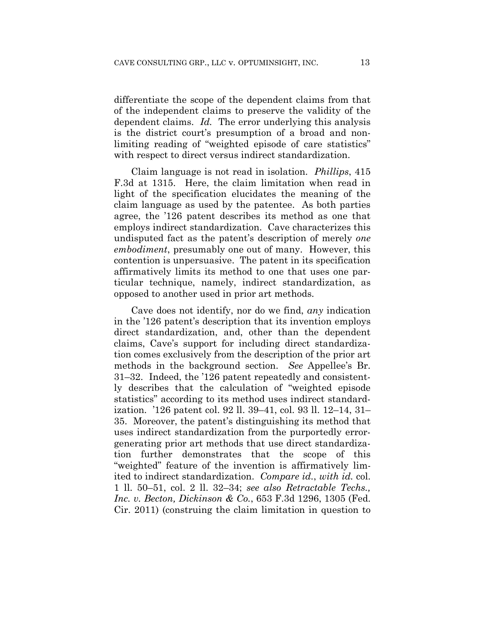differentiate the scope of the dependent claims from that of the independent claims to preserve the validity of the dependent claims. *Id.* The error underlying this analysis is the district court's presumption of a broad and nonlimiting reading of "weighted episode of care statistics" with respect to direct versus indirect standardization.

Claim language is not read in isolation. *Phillips*, 415 F.3d at 1315. Here, the claim limitation when read in light of the specification elucidates the meaning of the claim language as used by the patentee. As both parties agree, the '126 patent describes its method as one that employs indirect standardization. Cave characterizes this undisputed fact as the patent's description of merely *one embodiment*, presumably one out of many. However, this contention is unpersuasive. The patent in its specification affirmatively limits its method to one that uses one particular technique, namely, indirect standardization, as opposed to another used in prior art methods.

Cave does not identify, nor do we find, *any* indication in the '126 patent's description that its invention employs direct standardization, and, other than the dependent claims, Cave's support for including direct standardization comes exclusively from the description of the prior art methods in the background section. *See* Appellee's Br. 31–32. Indeed, the '126 patent repeatedly and consistently describes that the calculation of "weighted episode statistics" according to its method uses indirect standardization. '126 patent col. 92 ll. 39–41, col. 93 ll. 12–14, 31– 35. Moreover, the patent's distinguishing its method that uses indirect standardization from the purportedly errorgenerating prior art methods that use direct standardization further demonstrates that the scope of this "weighted" feature of the invention is affirmatively limited to indirect standardization. *Compare id.*, *with id.* col. 1 ll. 50–51, col. 2 ll. 32–34; *see also Retractable Techs., Inc. v. Becton, Dickinson & Co.*, 653 F.3d 1296, 1305 (Fed. Cir. 2011) (construing the claim limitation in question to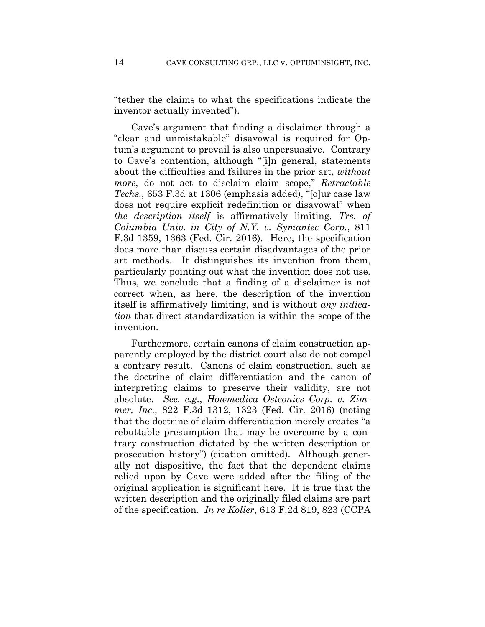"tether the claims to what the specifications indicate the inventor actually invented").

Cave's argument that finding a disclaimer through a "clear and unmistakable" disavowal is required for Optum's argument to prevail is also unpersuasive. Contrary to Cave's contention, although "[i]n general, statements about the difficulties and failures in the prior art, *without more*, do not act to disclaim claim scope," *Retractable Techs.*, 653 F.3d at 1306 (emphasis added), "[o]ur case law does not require explicit redefinition or disavowal" when *the description itself* is affirmatively limiting, *Trs. of Columbia Univ. in City of N.Y. v. Symantec Corp.*, 811 F.3d 1359, 1363 (Fed. Cir. 2016). Here, the specification does more than discuss certain disadvantages of the prior art methods. It distinguishes its invention from them, particularly pointing out what the invention does not use. Thus, we conclude that a finding of a disclaimer is not correct when, as here, the description of the invention itself is affirmatively limiting, and is without *any indication* that direct standardization is within the scope of the invention.

Furthermore, certain canons of claim construction apparently employed by the district court also do not compel a contrary result. Canons of claim construction, such as the doctrine of claim differentiation and the canon of interpreting claims to preserve their validity, are not absolute. *See, e.g.*, *Howmedica Osteonics Corp. v. Zimmer, Inc.*, 822 F.3d 1312, 1323 (Fed. Cir. 2016) (noting that the doctrine of claim differentiation merely creates "a rebuttable presumption that may be overcome by a contrary construction dictated by the written description or prosecution history") (citation omitted). Although generally not dispositive, the fact that the dependent claims relied upon by Cave were added after the filing of the original application is significant here. It is true that the written description and the originally filed claims are part of the specification. *In re Koller*, 613 F.2d 819, 823 (CCPA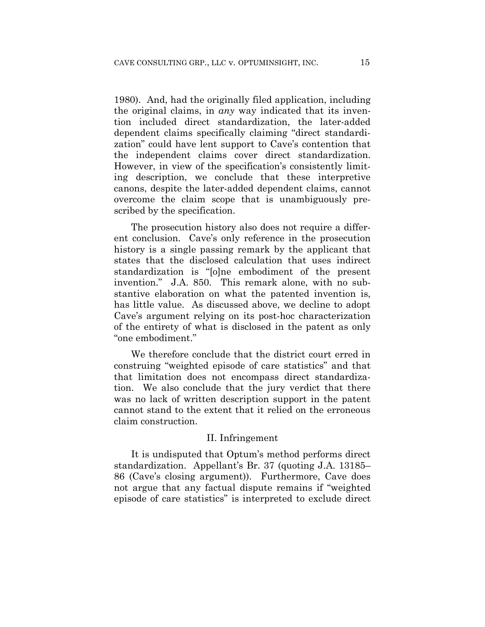1980). And, had the originally filed application, including the original claims, in *any* way indicated that its invention included direct standardization, the later-added dependent claims specifically claiming "direct standardization" could have lent support to Cave's contention that the independent claims cover direct standardization. However, in view of the specification's consistently limiting description, we conclude that these interpretive canons, despite the later-added dependent claims, cannot overcome the claim scope that is unambiguously prescribed by the specification.

The prosecution history also does not require a different conclusion. Cave's only reference in the prosecution history is a single passing remark by the applicant that states that the disclosed calculation that uses indirect standardization is "[o]ne embodiment of the present invention." J.A. 850. This remark alone, with no substantive elaboration on what the patented invention is, has little value. As discussed above, we decline to adopt Cave's argument relying on its post-hoc characterization of the entirety of what is disclosed in the patent as only "one embodiment."

We therefore conclude that the district court erred in construing "weighted episode of care statistics" and that that limitation does not encompass direct standardization. We also conclude that the jury verdict that there was no lack of written description support in the patent cannot stand to the extent that it relied on the erroneous claim construction.

#### II. Infringement

It is undisputed that Optum's method performs direct standardization. Appellant's Br. 37 (quoting J.A. 13185– 86 (Cave's closing argument)). Furthermore, Cave does not argue that any factual dispute remains if "weighted episode of care statistics" is interpreted to exclude direct